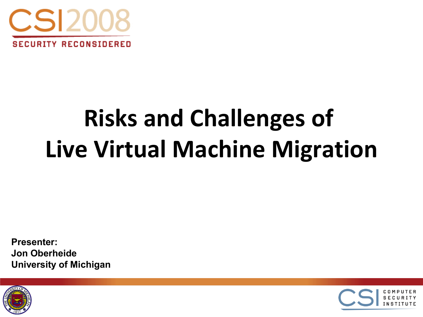

# **Risks and Challenges of Live Virtual Machine Migration**

**Presenter: Jon Oberheide University of Michigan**



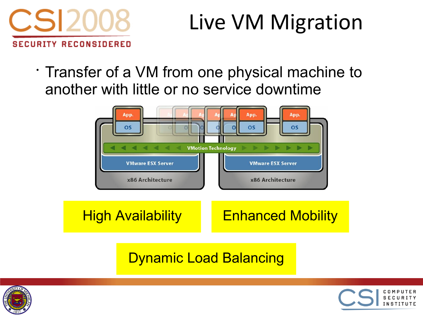

#### Live VM Migration

• Transfer of a VM from one physical machine to another with little or no service downtime



#### Dynamic Load Balancing



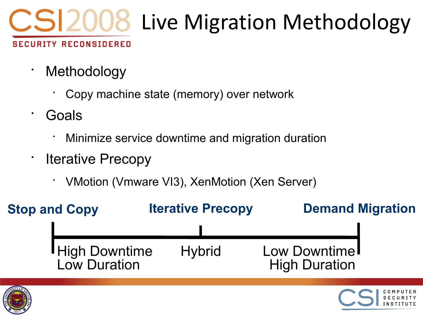

- Methodology
	- Copy machine state (memory) over network
- Goals
	- Minimize service downtime and migration duration
- Iterative Precopy
	- VMotion (Vmware VI3), XenMotion (Xen Server)

| <b>Stop and Copy</b> |                                        | <b>Iterative Precopy</b> |               | <b>Demand Migration</b>                           |  |
|----------------------|----------------------------------------|--------------------------|---------------|---------------------------------------------------|--|
|                      | <b>I</b> High Downtime<br>Low Duration |                          | <b>Hybrid</b> | Low Downtime <sup>l</sup><br><b>High Duration</b> |  |

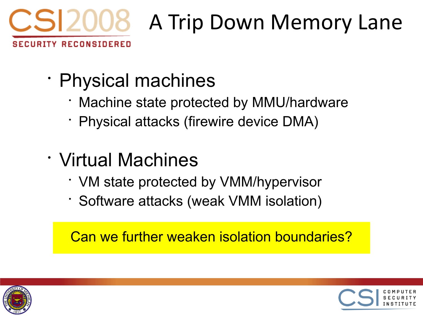

- Physical machines
	- Machine state protected by MMU/hardware
	- Physical attacks (firewire device DMA)
- Virtual Machines
	- VM state protected by VMM/hypervisor
	- Software attacks (weak VMM isolation)

Can we further weaken isolation boundaries?



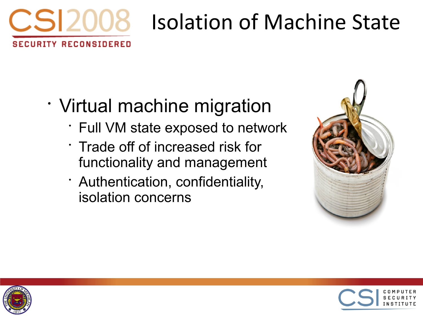

# Isolation of Machine State

- Virtual machine migration
	- Full VM state exposed to network
	- Trade off of increased risk for functionality and management
	- Authentication, confidentiality, isolation concerns





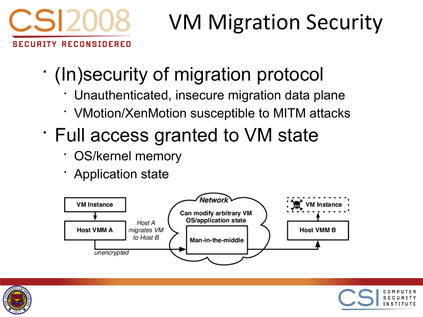

## VM Migration Security

- (In)security of migration protocol
	- Unauthenticated, insecure migration data plane
	- VMotion/XenMotion susceptible to MITM attacks
- Full access granted to VM state
	- OS/kernel memory
	- Application state





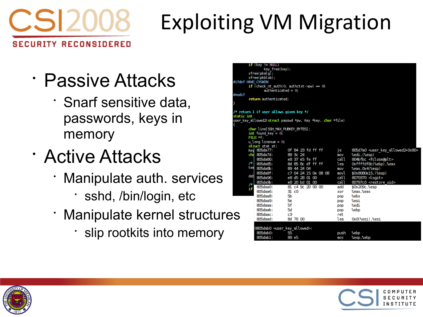

## Exploiting VM Migration

- Passive Attacks
	- Snarf sensitive data, passwords, keys in memory
- Active Attacks
	- Manipulate auth. services
		- sshd, /bin/login, etc
	- Manipulate kernel structures
		- slip rootkits into memory

|                                                                        | $if$ (key != NLLL)<br>key_free(key); |                      |       |                                               |  |  |  |  |  |
|------------------------------------------------------------------------|--------------------------------------|----------------------|-------|-----------------------------------------------|--|--|--|--|--|
|                                                                        | xfree(pkalq);                        |                      |       |                                               |  |  |  |  |  |
|                                                                        | xfree(pkblob);                       |                      |       |                                               |  |  |  |  |  |
|                                                                        | def HAVE CYGWIN                      |                      |       |                                               |  |  |  |  |  |
| if (check nt auth(0, authctxt->pw) = 0)                                |                                      |                      |       |                                               |  |  |  |  |  |
|                                                                        | $authenticated = 0$                  |                      |       |                                               |  |  |  |  |  |
| dif                                                                    |                                      |                      |       |                                               |  |  |  |  |  |
|                                                                        | return authenticated:                |                      |       |                                               |  |  |  |  |  |
|                                                                        |                                      |                      |       |                                               |  |  |  |  |  |
|                                                                        |                                      |                      |       |                                               |  |  |  |  |  |
| return 1 if user allows given key */                                   |                                      |                      |       |                                               |  |  |  |  |  |
| tic int                                                                |                                      |                      |       |                                               |  |  |  |  |  |
| r key allowed2( <b>struct</b> passwd *pw, Key *key, <b>char</b> *file) |                                      |                      |       |                                               |  |  |  |  |  |
|                                                                        | char line[SSH MAX PUBKEY BYTES];     |                      |       |                                               |  |  |  |  |  |
|                                                                        | $\text{int}$ found key = 0;          |                      |       |                                               |  |  |  |  |  |
|                                                                        | $FILE * f$ :                         |                      |       |                                               |  |  |  |  |  |
|                                                                        | $u$ long linenum = $\theta$ ,        |                      |       |                                               |  |  |  |  |  |
|                                                                        | struct stat st;                      |                      |       |                                               |  |  |  |  |  |
|                                                                        | Key 805da77:                         | of 84 23 fd ff ff    | je    | 805d7a0 <user allowed2+0x80="" key=""></user> |  |  |  |  |  |
|                                                                        | cha 805da7d:                         | 89 3c 24             | mov   | %edi, (%esp)                                  |  |  |  |  |  |
|                                                                        | 805da80:                             | e8 37 e5 fe ff       | call  | 804bfbc <fclose@plt></fclose@plt>             |  |  |  |  |  |
| 7* I                                                                   | 805da85:                             | 8d 85 8c df ff ff    | l ea  | Oxffffdf8c(%ebp),%eax                         |  |  |  |  |  |
| tem                                                                    | 805da8b:                             | 89 44 24 04          | mov   | %eax, 0x4(%esp)                               |  |  |  |  |  |
| deb                                                                    | 805da8f:                             | c7 04 24 15 0e 08 08 | movl  | \$0x8080e15, (%esp)                           |  |  |  |  |  |
|                                                                        | 805da96:                             | e8 d5 28 01 00       | call  | 8070370 <logit></logit>                       |  |  |  |  |  |
| Л                                                                      | 805da9b:                             | e8 20 bd 01 00       | call. | 80797c0 <restore uid=""></restore>            |  |  |  |  |  |
| if                                                                     | 805daa0:                             | 81 c4 9c 20 00 00    | add   | \$0x209c,%esp                                 |  |  |  |  |  |
|                                                                        | 805daa6:                             | 31c0                 | xor   | %eax,%eax                                     |  |  |  |  |  |
|                                                                        | 805daa8.                             | 56                   | pop   | %ebx                                          |  |  |  |  |  |
|                                                                        | 805daa9:                             | 56                   | pop   | %esi                                          |  |  |  |  |  |
|                                                                        | 805 da a a :                         | 5f                   | pop   | %edi                                          |  |  |  |  |  |
|                                                                        | 805daab:                             | 50                   | pop   | %ebp                                          |  |  |  |  |  |
|                                                                        | 805daac:                             | cЗ                   | ret   |                                               |  |  |  |  |  |
|                                                                        | 805daad:                             | 8d 76 00             | lea   | OxO(%esi),%esi                                |  |  |  |  |  |
|                                                                        |                                      |                      |       |                                               |  |  |  |  |  |
|                                                                        | 0805dab0 ⊲user key allowed>:         |                      |       |                                               |  |  |  |  |  |
|                                                                        | 805dab0:                             | 55                   | push  | %ebp                                          |  |  |  |  |  |
|                                                                        | 805dab1:                             | 89. e5               | mov   | %esn.%ebn                                     |  |  |  |  |  |



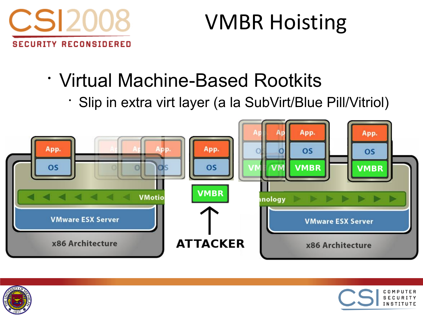

## VMBR Hoisting

- Virtual Machine-Based Rootkits
	- Slip in extra virt layer (a la SubVirt/Blue Pill/Vitriol)





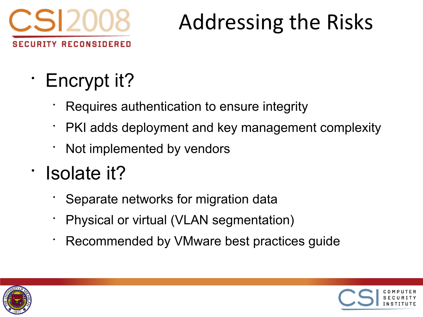

## Addressing the Risks

- Encrypt it?
	- Requires authentication to ensure integrity
	- PKI adds deployment and key management complexity
	- Not implemented by vendors
- Isolate it?
	- Separate networks for migration data
	- Physical or virtual (VLAN segmentation)
	- Recommended by VMware best practices guide



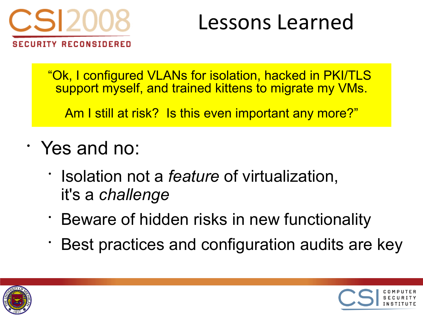

#### Lessons Learned

"Ok, I configured VLANs for isolation, hacked in PKI/TLS support myself, and trained kittens to migrate my VMs.

Am I still at risk? Is this even important any more?"

- Yes and no:
	- Isolation not a *feature* of virtualization, it's a *challenge*
	- Beware of hidden risks in new functionality
	- Best practices and configuration audits are key